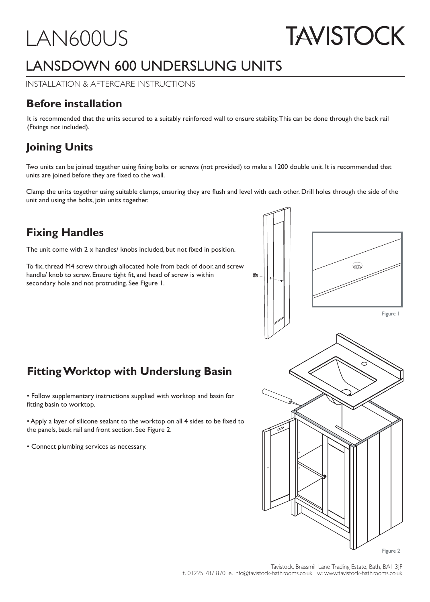## LAN600US

# **TAVISTOCK**

## LANSDOWN 600 UNDERSLUNG UNITS

INSTALLATION & AFTERCARE INSTRUCTIONS

## **Before installation**

It is recommended that the units secured to a suitably reinforced wall to ensure stability. This can be done through the back rail (Fixings not included).

## **Joining Units**

Two units can be joined together using fixing bolts or screws (not provided) to make a 1200 double unit. It is recommended that units are joined before they are fixed to the wall.

Clamp the units together using suitable clamps, ensuring they are flush and level with each other. Drill holes through the side of the unit and using the bolts, join units together.

## **Fixing Handles**

The unit come with  $2 \times$  handles/ knobs included, but not fixed in position.

To fix, thread M4 screw through allocated hole from back of door, and screw handle/ knob to screw. Ensure tight fit, and head of screw is within secondary hole and not protruding. See Figure 1.



## **Fitting Worktop with Underslung Basin**

• Follow supplementary instructions supplied with worktop and basin for fitting basin to worktop.

• Apply a layer of silicone sealant to the worktop on all 4 sides to be fixed to the panels, back rail and front section. See Figure 2.

• Connect plumbing services as necessary.